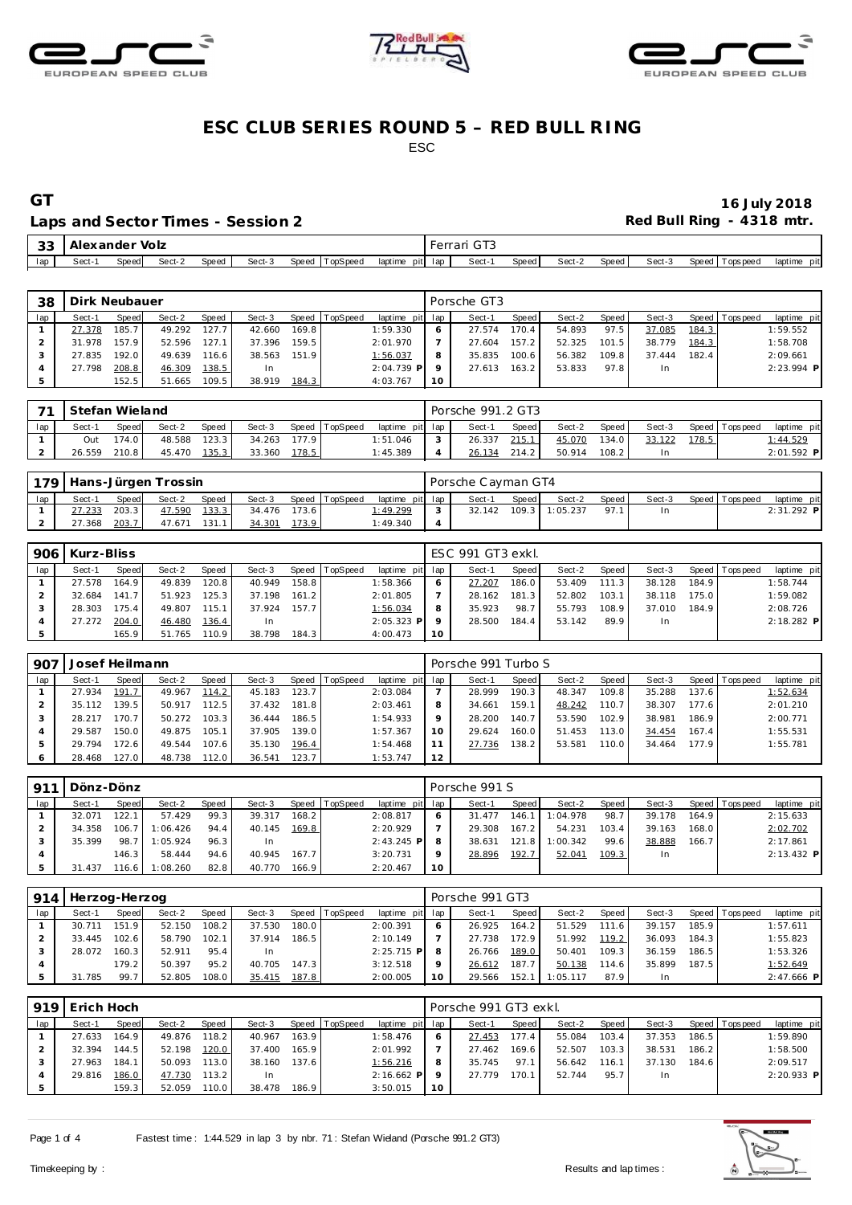





### **ESC CLUB SERIES ROUND 5 – RED BULL RING** ESC

#### Laps and Sector Times - Session 2 **Red Bull Ring - 4318 mtr.** And Sector Times - Session 2

# **GT 16 July 2018**

| -33 | Alexander Volz |       |        |       |        |                   |                 | $F = F \cup F$<br>. UP | $\sim$ $\sim$ $\sim$<br>тан |       |        |       |        |                        |                |
|-----|----------------|-------|--------|-------|--------|-------------------|-----------------|------------------------|-----------------------------|-------|--------|-------|--------|------------------------|----------------|
| lap | Sect-          | Speed | Sect-2 | Speed | Sect-3 | TopSpeed<br>Speed | pitl<br>laptime | lap                    | Sect-                       | Speed | Sect-2 | Speed | Sect-3 | Speed   T<br>Tops peed | laptime<br>pit |

| 38  | Dirk Neubauer |       |        |                    |           |       |                |                 |    | Porsche GT3 |       |        |         |        |       |                |              |
|-----|---------------|-------|--------|--------------------|-----------|-------|----------------|-----------------|----|-------------|-------|--------|---------|--------|-------|----------------|--------------|
| lap | Sect-1        | Speed | Sect-2 | Speed              | Sect-3    |       | Speed TopSpeed | laptime pit lap |    | Sect-1      | Speed | Sect-2 | Speed I | Sect-3 |       | Speed Topspeed | laptime pit  |
|     | 27.378        | 185.7 | 49.292 | 127.7              | 42.660    | 169.8 |                | 1:59.330        |    | 27.574      | 170.4 | 54.893 | 97.5    | 37.085 | 184.3 |                | 1:59.552     |
|     | 31.978        | 157.9 | 52.596 | 127.1              | 37.396    | 159.5 |                | 2:01.970        |    | 27.604      | 157.2 | 52.325 | 101.5   | 38.779 | 184.3 |                | 1:58.708     |
|     | 27.835        | 192.0 | 49.639 | 116.6 <sub>1</sub> | 38.563    | 151.9 |                | 1:56.037        |    | 35.835      | 100.6 | 56.382 | 109.8   | 37.444 | 182.4 |                | 2:09.661     |
|     | 27.798        | 208.8 | 46.309 | 138.5              | <b>In</b> |       |                | $2:04.739$ P    |    | 27.613      | 163.2 | 53.833 | 97.8    | In     |       |                | $2:23.994$ P |
|     |               | 152.5 | 51.665 | 109.5              | 38.919    | 184.3 |                | 4:03.767        | 10 |             |       |        |         |        |       |                |              |

| 74  | Stefan Wieland |              |        |       |        |                    |                |                 |        | Porsche 991.2 GT3 |              |        |       |        |       |                |              |
|-----|----------------|--------------|--------|-------|--------|--------------------|----------------|-----------------|--------|-------------------|--------------|--------|-------|--------|-------|----------------|--------------|
| lap | Sect-1         | <b>Speed</b> | Sect-2 | Speed | Sect-3 |                    | Speed TopSpeed | laptime pit lap |        | Sect-1            | <b>Speed</b> | Sect-2 | Speed | Sect-3 |       | Speed Topspeed | laptime pit  |
|     | Out            | 174.0        | 48.588 | 123.3 | 34.263 | 177.9 <sub>1</sub> |                | 1:51.046        | $\sim$ | 26.337            | 215.1        | 45.070 | 134.0 | 33.122 | 178.5 |                | 1:44.529     |
|     | 26.559         | 210.8        | 45.470 | 135.3 | 33.360 | 178.5              |                | 1:45.389        |        | 26.134            | 214.2        | 50.914 | 108.2 |        |       |                | $2:01.592$ P |

|     | 179   Hans-Jürgen Trossin |       |        |       |        |       |                |                 | Porsche Cayman GT4 |         |          |         |        |                 |              |
|-----|---------------------------|-------|--------|-------|--------|-------|----------------|-----------------|--------------------|---------|----------|---------|--------|-----------------|--------------|
| lap | Sect-1                    | Speed | Sect-2 | Speed | Sect-3 |       | Speed TopSpeed | laptime pit lap | Sect-1             | Speed I | Sect-2   | Speed I | Sect-3 | Speed Tops peed | laptime pit  |
|     | 27.233                    | 203.3 | 47.590 | 133.3 | 34.476 | 173.6 |                | 1:49.299        | 32.142             | 109.3   | 1:05.237 | 97.     |        |                 | $2:31.292$ P |
|     | 27.368                    | 203.7 | 47.671 | 131.1 | 34.301 | 173.9 |                | 1:49.340        |                    |         |          |         |        |                 |              |

| 906 | Kurz-Bliss |       |        |       |           |       |                |                 |           | ESC 991 GT3 exkl. |       |        |       |        |       |                |              |
|-----|------------|-------|--------|-------|-----------|-------|----------------|-----------------|-----------|-------------------|-------|--------|-------|--------|-------|----------------|--------------|
| lap | Sect-1     | Speed | Sect-2 | Speed | Sect-3    |       | Speed TopSpeed | laptime pit lap |           | Sect-1            | Speed | Sect-2 | Speed | Sect-3 |       | Speed Topspeed | laptime pit  |
|     | 27.578     | 164.9 | 49.839 | 120.8 | 40.949    | 158.8 |                | 1:58.366        | $\circ$   | 27.207            | 186.0 | 53.409 | 111.3 | 38.128 | 184.9 |                | 1:58.744     |
|     | 32.684     | 141.7 | 51.923 | 125.3 | 37.198    | 161.2 |                | 2:01.805        |           | 28.162            | 181.3 | 52.802 | 103.1 | 38.118 | 175.0 |                | 1:59.082     |
|     | 28.303     | 175.4 | 49.807 | 115.1 | 37.924    | 157.7 |                | 1:56.034        | 8         | 35.923            | 98.7  | 55.793 | 108.9 | 37.010 | 184.9 |                | 2:08.726     |
|     | 27.272     | 204.0 | 46.480 | 136.4 | <b>In</b> |       |                | $2:05.323$ P    |           | 28.500            | 184.4 | 53.142 | 89.9  | In     |       |                | $2:18.282$ P |
|     |            | 165.9 | 51.765 | 110.9 | 38.798    | 184.3 |                | 4:00.473        | <b>10</b> |                   |       |        |       |        |       |                |              |

| 907 | Josef Heilmann |       |        |       |        |       |                |                 |         | Porsche 991 Turbo S |       |        |                    |        |       |                |             |
|-----|----------------|-------|--------|-------|--------|-------|----------------|-----------------|---------|---------------------|-------|--------|--------------------|--------|-------|----------------|-------------|
| lap | Sect-1         | Speed | Sect-2 | Speed | Sect-3 |       | Speed TopSpeed | laptime pit lap |         | Sect-1              | Speed | Sect-2 | Speed              | Sect-3 |       | Speed Topspeed | laptime pit |
|     | 27.934         | 191.7 | 49.967 | 114.2 | 45.183 | 123.7 |                | 2:03.084        |         | 28.999              | 190.3 | 48.347 | 109.8              | 35.288 | 137.6 |                | 1:52.634    |
|     | 35.112         | 139.5 | 50.917 | 112.5 | 37.432 | 181.8 |                | 2:03.461        |         | 34.661              | 159.1 | 48.242 | 110.7 <sub>1</sub> | 38.307 | 177.6 |                | 2:01.210    |
|     | 28.217         | 170.7 | 50.272 | 103.3 | 36.444 | 186.5 |                | 1:54.933        | $\circ$ | 28.200              | 140.7 | 53.590 | 102.9              | 38.981 | 186.9 |                | 2:00.771    |
|     | 29.587         | 150.0 | 49.875 | 105.1 | 37.905 | 139.0 |                | 1:57.367        | 10      | 29.624              | 160.0 | 51.453 | 113.0              | 34.454 | 167.4 |                | 1:55.531    |
|     | 29.794         | 172.6 | 49.544 | 107.6 | 35.130 | 196.4 |                | 1:54.468        |         | 27.736              | 138.2 | 53.581 | 110.0              | 34.464 | 177.9 |                | 1:55.781    |
|     | 28.468         | 127.0 | 48.738 | 112.0 | 36.541 | 123.7 |                | 1:53.747        | 12      |                     |       |        |                    |        |       |                |             |

| Q1  | Dönz-Dönz |         |          |       |        |       |                |                 |         | Porsche 991 S |       |          |       |        |       |                |              |
|-----|-----------|---------|----------|-------|--------|-------|----------------|-----------------|---------|---------------|-------|----------|-------|--------|-------|----------------|--------------|
| lap | Sect-1    | Speed   | Sect-2   | Speed | Sect-3 |       | Speed TopSpeed | laptime pit lap |         | Sect-1        | Speed | Sect-2   | Speed | Sect-3 |       | Speed Topspeed | laptime pit  |
|     | 32.071    | 122.1   | 57.429   | 99.3  | 39.317 | 168.2 |                | 2:08.817        |         | 31.477        | 146.1 | 1:04.978 | 98.7  | 39.178 | 164.9 |                | 2:15.633     |
|     | 34.358    | 106.7   | 1:06.426 | 94.4  | 40.145 | 169.8 |                | 2:20.929        |         | 29.308        | 167.2 | 54.231   | 103.4 | 39.163 | 168.0 |                | 2:02.702     |
|     | 35.399    | 98.7    | 1:05.924 | 96.3  | In.    |       |                | $2:43.245$ P    | -8      | 38.631        | 121.8 | 1:00.342 | 99.6  | 38.888 | 166.7 |                | 2:17.861     |
|     |           | 146.3   | 58.444   | 94.6  | 40.945 | 167.7 |                | 3:20.731        | $\circ$ | 28.896        | 192.7 | 52.041   | 109.3 | In.    |       |                | $2:13.432$ P |
|     | 31.437    | 116.6 l | 1:08.260 | 82.8  | 40.770 | 166.9 |                | 2:20.467        | 10      |               |       |          |       |        |       |                |              |

| 914 | Herzog-Herzog |       |        |              |        |       |                |                 |    | Porsche 991 GT3 |         |          |       |        |                    |                |              |
|-----|---------------|-------|--------|--------------|--------|-------|----------------|-----------------|----|-----------------|---------|----------|-------|--------|--------------------|----------------|--------------|
| lap | Sect-1        | Speed | Sect-2 | <b>Speed</b> | Sect-3 |       | Speed TopSpeed | laptime pit lap |    | Sect-1          | Speed I | Sect-2   | Speed | Sect-3 |                    | Speed Topspeed | laptime pit  |
|     | 30.711        | 151.9 | 52.150 | 108.2        | 37.530 | 180.0 |                | 2:00.391        |    | 26.925          | 164.2   | 51.529   | 111.6 | 39.157 | 185.9              |                | 1:57.611     |
|     | 33.445        | 102.6 | 58.790 | 102.1        | 37.914 | 186.5 |                | 2:10.149        |    | 27.738          | 172.9   | 51.992   | 119.2 | 36.093 | 184.3              |                | 1:55.823     |
|     | 28.072        | 160.3 | 52.911 | 95.4         |        |       |                | $2:25.715$ P    |    | 26.766          | 189.0   | 50.401   | 109.3 | 36.159 | 186.5 <sub>1</sub> |                | 1:53.326     |
|     |               | 179.2 | 50.397 | 95.2         | 40.705 | 147.3 |                | 3:12.518        |    | 26.612          | 187.7   | 50.138   | 114.6 | 35.899 | 187.5              |                | 1:52.649     |
|     | 31.785        | 99.7  | 52.805 | 108.0        | 35.415 | 187.8 |                | 2:00.005        | 10 | 29.566          | 152.1   | 1:05.117 | 87.9  |        |                    |                | $2:47.666$ P |

|     | 919 Erich Hoch |       |        |                    |        |       |                |                 |    | Porsche 991 GT3 exkl. |       |        |       |        |       |                 |              |
|-----|----------------|-------|--------|--------------------|--------|-------|----------------|-----------------|----|-----------------------|-------|--------|-------|--------|-------|-----------------|--------------|
| lap | Sect-1         | Speed | Sect-2 | Speed              | Sect-3 |       | Speed TopSpeed | laptime pit lap |    | Sect-1                | Speed | Sect-2 | Speed | Sect-3 |       | Speed Tops peed | laptime pit  |
|     | 27.633         | 164.9 | 49.876 | 118.2              | 40.967 | 163.9 |                | 1:58.476        | 6  | 27.453                | 177.4 | 55.084 | 103.4 | 37.353 | 186.5 |                 | 1:59.890     |
|     | 32.394         | 144.5 | 52.198 | 120.0              | 37.400 | 165.9 |                | 2:01.992        |    | 27.462                | 169.6 | 52.507 | 103.3 | 38.531 | 186.2 |                 | 1:58.500     |
|     | 27.963         | 184.1 | 50.093 | 113.0 <sub>1</sub> | 38.160 | 137.6 |                | 1:56.216        | 8  | 35.745                | 97.1  | 56.642 | 116.1 | 37.130 | 184.6 |                 | 2:09.517     |
|     | 29.816         | 186.0 | 47.730 | 113.2              | In     |       |                | $2:16.662$ P    |    | 27.779                | 170.1 | 52.744 | 95.7  | In.    |       |                 | $2:20.933$ P |
|     |                | 159.3 | 52.059 | 110.0              | 38.478 | 186.9 |                | 3:50.015        | 10 |                       |       |        |       |        |       |                 |              |

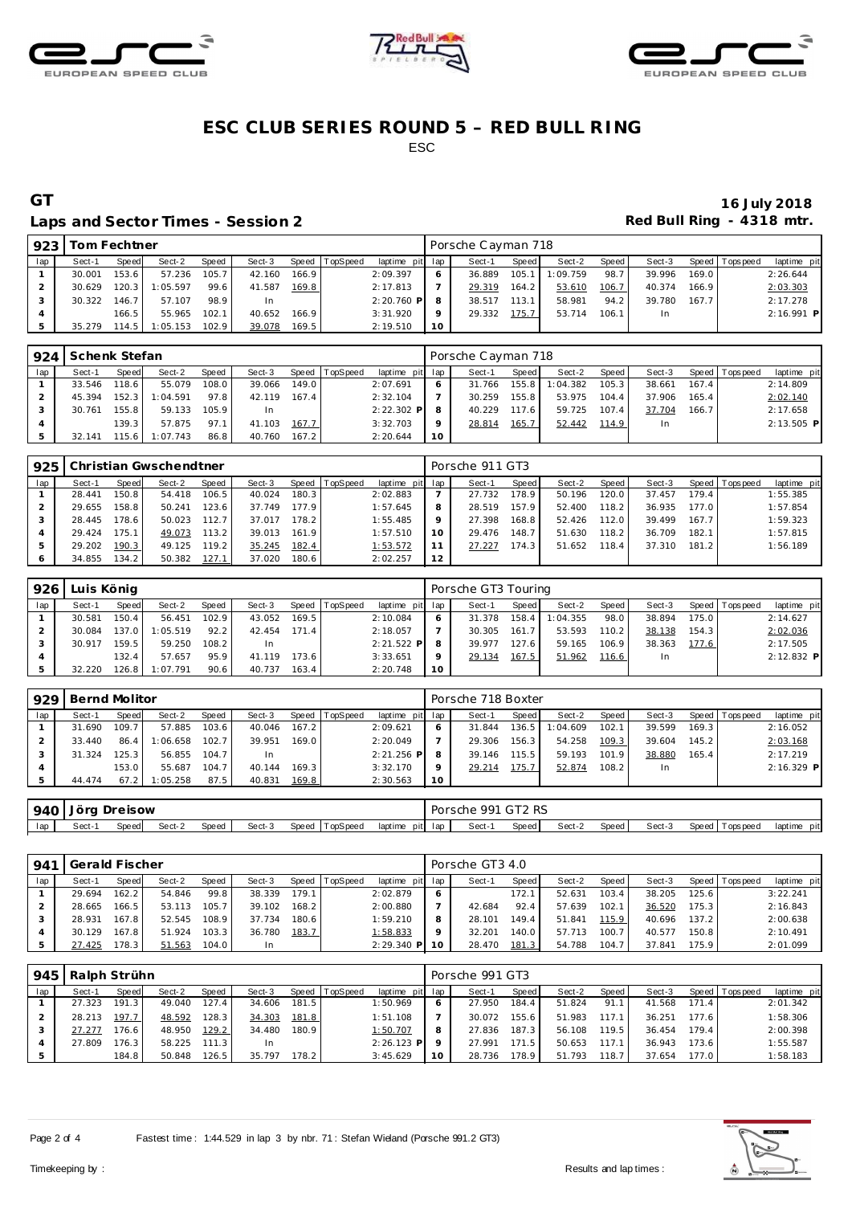





### **ESC CLUB SERIES ROUND 5 – RED BULL RING** ESC

#### Laps and Sector Times - Session 2 **Red Bull Ring - 4318 mtr.**

# **GT 16 July 2018**

| 923 | Tom Fechtner |       |          |       |        |       |                |                 |         | Porsche Cayman 718 |       |          |       |           |       |                |              |
|-----|--------------|-------|----------|-------|--------|-------|----------------|-----------------|---------|--------------------|-------|----------|-------|-----------|-------|----------------|--------------|
| lap | Sect-1       | Speed | Sect-2   | Speed | Sect-3 |       | Speed TopSpeed | laptime pit lap |         | Sect-1             | Speed | Sect-2   | Speed | Sect-3    |       | Speed Topspeed | laptime pit  |
|     | 30.001       | 153.6 | 57.236   | 105.7 | 42.160 | 166.9 |                | 2:09.397        | 6       | 36.889             | 105.1 | 1:09.759 | 98.7  | 39.996    | 169.0 |                | 2:26.644     |
|     | 30.629       | 120.3 | 1:05.597 | 99.6  | 41.587 | 169.8 |                | 2:17.813        |         | 29.319             | 164.2 | 53.610   | 106.7 | 40.374    | 166.9 |                | 2:03.303     |
|     | 30.322       | 146.7 | 57.107   | 98.9  | In.    |       |                | $2:20.760$ P    |         | 38.517             | 113.1 | 58.981   | 94.2  | 39.780    | 167.7 |                | 2:17.278     |
|     |              | 166.5 | 55.965   | 102.1 | 40.652 | 166.9 |                | 3:31.920        | $\circ$ | 29.332             | 175.7 | 53.714   | 106.1 | <b>In</b> |       |                | $2:16.991$ P |
|     | 35.279       | 114.5 | 1:05.153 | 102.9 | 39.078 | 169.5 |                | 2:19.510        | 10      |                    |       |          |       |           |       |                |              |

|     | 924 Schenk Stefan |       |          |       |        |       |                |                 |           | Porsche Cayman 718 |                    |          |         |        |       |                   |              |
|-----|-------------------|-------|----------|-------|--------|-------|----------------|-----------------|-----------|--------------------|--------------------|----------|---------|--------|-------|-------------------|--------------|
| lap | Sect-1            | Speed | Sect-2   | Speed | Sect-3 |       | Speed TopSpeed | laptime pit lap |           | Sect-1             | Speed              | Sect-2   | Speed I | Sect-3 |       | Speed   Tops peed | laptime pit  |
|     | 33.546            | 118.6 | 55.079   | 108.0 | 39.066 | 149.0 |                | 2:07.691        |           | 31.766             | 155.8              | 1:04.382 | 105.3   | 38.661 | 167.4 |                   | 2:14.809     |
|     | 45.394            | 152.3 | 1:04.591 | 97.8  | 42.119 | 167.4 |                | 2:32.104        |           | 30.259             | 155.8              | 53.975   | 104.4   | 37.906 | 165.4 |                   | 2:02.140     |
|     | 30.761            | 155.8 | 59.133   | 105.9 | In     |       |                | $2:22.302$ P    | -8        | 40.229             | 117.6 <sub>1</sub> | 59.725   | 107.4   | 37.704 | 166.7 |                   | 2:17.658     |
|     |                   | 139.3 | 57.875   | 97.1  | 41.103 | 167.7 |                | 3:32.703        | $\circ$   | 28.814             | 165.7              | 52.442   | 114.9   | In     |       |                   | $2:13.505$ P |
|     | 32.141            | 115.6 | 1:07.743 | 86.8  | 40.760 | 167.2 |                | 2:20.644        | <b>10</b> |                    |                    |          |         |        |       |                   |              |

| 925 |        |        | Christian Gwschendtner |       |        |       |                |                 |    | Porsche 911 GT3 |              |        |        |        |       |                 |             |
|-----|--------|--------|------------------------|-------|--------|-------|----------------|-----------------|----|-----------------|--------------|--------|--------|--------|-------|-----------------|-------------|
| lap | Sect-1 | Speed  | Sect-2                 | Speed | Sect-3 |       | Speed TopSpeed | laptime pit lap |    | Sect-1          | <b>Speed</b> | Sect-2 | Speed  | Sect-3 |       | Speed Tops peed | laptime pit |
|     | 28.441 | 150.8  | 54.418                 | 106.5 | 40.024 | 180.3 |                | 2:02.883        |    | 27.732          | 178.9        | 50.196 | 120.0  | 37.457 | 179.4 |                 | 1:55.385    |
|     | 29.655 | 158.8  | 50.241                 | 123.6 | 37.749 | 177.9 |                | 1:57.645        | 8  | 28.519          | 157.9        | 52.400 | 118.2  | 36.935 | 177.0 |                 | 1:57.854    |
|     | 28.445 | 178.6  | 50.023                 | 112.7 | 37.017 | 178.2 |                | 1:55.485        | Q  | 27.398          | 168.8        | 52.426 | 112.0  | 39.499 | 167.7 |                 | 1:59.323    |
|     | 29.424 | 175.1  | 49.073                 | 113.2 | 39.013 | 161.9 |                | 1:57.510        | 10 | 29.476          | 148.7        | 51.630 | 118.2. | 36.709 | 182.1 |                 | 1:57.815    |
|     | 29.202 | 190.3  | 49.125                 | 119.2 | 35.245 | 182.4 |                | 1:53.572        |    | 27.227          | 174.3        | 51.652 | 118.4  | 37.310 | 181.2 |                 | 1:56.189    |
|     | 34.855 | 134.21 | 50.382                 | 127.1 | 37.020 | 180.6 |                | 2:02.257        | 12 |                 |              |        |        |        |       |                 |             |

| 926 | Luis König |       |          |       |        |                    |          |                 |    | Porsche GT3 Touring |       |          |       |        |       |                 |              |
|-----|------------|-------|----------|-------|--------|--------------------|----------|-----------------|----|---------------------|-------|----------|-------|--------|-------|-----------------|--------------|
| lap | Sect-1     | Speed | Sect-2   | Speed | Sect-3 | Speed              | TopSpeed | laptime pit lap |    | Sect-1              | Speed | Sect-2   | Speed | Sect-3 |       | Speed Tops peed | laptime pit  |
|     | 30.581     | 150.4 | 56.451   | 102.9 | 43.052 | 169.5 <sub>1</sub> |          | 2:10.084        |    | 31.378              | 158.4 | 1:04.355 | 98.0  | 38.894 | 175.0 |                 | 2:14.627     |
|     | 30.084     | 137.0 | 1:05.519 | 92.2  | 42.454 | 171.4              |          | 2:18.057        |    | 30.305              | 161.7 | 53.593   | 110.2 | 38.138 | 154.3 |                 | 2:02.036     |
|     | 30.917     | 159.5 | 59.250   | 108.2 | -In    |                    |          | $2:21.522$ P    |    | 39.977              | 127.6 | 59.165   | 106.9 | 38.363 | 177.6 |                 | 2:17.505     |
|     |            | 132.4 | 57.657   | 95.9  | 41.119 | 173.6              |          | 3:33.651        |    | 29.134              | 167.5 | 51.962   | 116.6 | In     |       |                 | $2:12.832$ P |
|     | 32.220     | 26.8  | 1:07.791 | 90.6  | 40.737 | 163.4              |          | 2:20.748        | 10 |                     |       |          |       |        |       |                 |              |

| 929 | Bernd Molitor |       |          |       |        |                    |                |                 |                 | Porsche 718 Boxter |        |          |       |        |       |                |              |
|-----|---------------|-------|----------|-------|--------|--------------------|----------------|-----------------|-----------------|--------------------|--------|----------|-------|--------|-------|----------------|--------------|
| lap | Sect-1        | Speed | Sect-2   | Speed | Sect-3 |                    | Speed TopSpeed | laptime pit lap |                 | Sect-1             | Speed  | Sect-2   | Speed | Sect-3 |       | Speed Topspeed | laptime pit  |
|     | 31.690        | 109.7 | 57.885   | 103.6 | 40.046 | 167.2 <sub>1</sub> |                | 2:09.621        | 6               | 31.844             | 136.5  | 1:04.609 | 102.1 | 39.599 | 169.3 |                | 2:16.052     |
|     | 33.440        | 86.4  | 1:06.658 | 102.7 | 39.951 | 169.01             |                | 2:20.049        |                 | 29.306             | 156.3. | 54.258   | 109.3 | 39.604 | 145.2 |                | 2:03.168     |
|     | 31.324        | 125.3 | 56.855   | 104.7 | In     |                    |                | $2:21.256$ P    |                 | 39.146             | 115.5  | 59.193   | 101.9 | 38.880 | 165.4 |                | 2:17.219     |
|     |               | 153.0 | 55.687   | 104.7 | 40.144 | 169.3              |                | 3:32.170        | $\circ$         | 29.214             | 175.7  | 52.874   | 108.2 | In.    |       |                | $2:16.329$ P |
|     | 44.474        | 67.2  | 1:05.258 | 87.5  | 40.831 | 169.8              |                | 2:30.563        | 10 <sup>°</sup> |                    |        |          |       |        |       |                |              |

| 940 | Jörg   | Dreisow |        |       |        |                |         |         | Porsche 991 GT2 RS |       |        |       |        |                     |             |
|-----|--------|---------|--------|-------|--------|----------------|---------|---------|--------------------|-------|--------|-------|--------|---------------------|-------------|
| lap | Sect-' | Speed   | Sect-2 | Speed | Sect-3 | Speed TopSpeed | laptime | pit lap | Sect-              | Speed | Sect-2 | Speed | Sect-3 | Speed<br>Tops pee d | laptime pit |

| 941 | l Gerald Fischer |       |        |       |        |       |          |                 |         | Porsche GT3 4.0 |       |        |       |        |       |                   |             |
|-----|------------------|-------|--------|-------|--------|-------|----------|-----------------|---------|-----------------|-------|--------|-------|--------|-------|-------------------|-------------|
| lap | Sect-1           | Speed | Sect-2 | Speed | Sect-3 | Speed | TopSpeed | laptime pit lap |         | Sect-1          | Speed | Sect-2 | Speed | Sect-3 |       | Speed   Tops peed | laptime pit |
|     | 29.694           | 162.2 | 54.846 | 99.8  | 38.339 | 179.1 |          | 2:02.879        | -6      |                 | 172.1 | 52.631 | 103.4 | 38.205 | 125.6 |                   | 3:22.241    |
|     | 28.665           | 166.5 | 53.113 | 105.7 | 39.102 | 168.2 |          | 2:00.880        |         | 42.684          | 92.4  | 57.639 | 102.1 | 36.520 | 175.3 |                   | 2:16.843    |
|     | 28.931           | 167.8 | 52.545 | 108.9 | 37.734 | 180.6 |          | 1:59.210        | 8       | 28.101          | 149.4 | 51.841 | 115.9 | 40.696 | 137.2 |                   | 2:00.638    |
|     | 30.129           | 167.8 | 51.924 | 103.3 | 36.780 | 183.7 |          | 1:58.833        | $\circ$ | 32.201          | 140.0 | 57.713 | 100.7 | 40.577 | 150.8 |                   | 2:10.491    |
|     | 27.425           | 178.3 | 51.563 | 104.0 | In.    |       |          | $2:29.340$ P 10 |         | 28.470          | 181.3 | 54.788 | 104.7 | 37.841 | 175.9 |                   | 2:01.099    |

| 945 | Ralph Strühn |       |        |              |        |       |          |                 |    | Porsche 991 GT3 |         |        |       |        |       |                 |             |
|-----|--------------|-------|--------|--------------|--------|-------|----------|-----------------|----|-----------------|---------|--------|-------|--------|-------|-----------------|-------------|
| lap | Sect-1       | Speed | Sect-2 | <b>Speed</b> | Sect-3 | Speed | TopSpeed | laptime pit lap |    | Sect-1          | Speed I | Sect-2 | Speed | Sect-3 |       | Speed Tops peed | laptime pit |
|     | 27.323       | 191.3 | 49.040 | 127.4        | 34.606 | 181.5 |          | 1:50.969        |    | 27.950          | 184.4   | 51.824 | 91.1  | 41.568 | 171.4 |                 | 2:01.342    |
|     | 28.213       | 197.7 | 48.592 | 128.3        | 34.303 | 181.8 |          | 1:51.108        |    | 30.072          | 155.6   | 51.983 | 117.1 | 36.251 | 177.6 |                 | 1:58.306    |
|     | 27.277       | 76.6  | 48.950 | 129.2        | 34.480 | 180.9 |          | 1:50.707        | 8  | 27.836          | 187.3   | 56.108 | 119.5 | 36.454 | 179.4 |                 | 2:00.398    |
|     | 27.809       | 176.3 | 58.225 | 111.3        | -In    |       |          | $2:26.123$ P    |    | 27.991          | 171.5   | 50.653 | 117.1 | 36.943 | 173.6 |                 | 1:55.587    |
|     |              | 184.8 | 50.848 | 126.5        | 35.797 | 178.2 |          | 3:45.629        | 10 | 28.736          | 178.9   | 51.793 | 118.7 | 37.654 | 177.0 |                 | 1:58.183    |

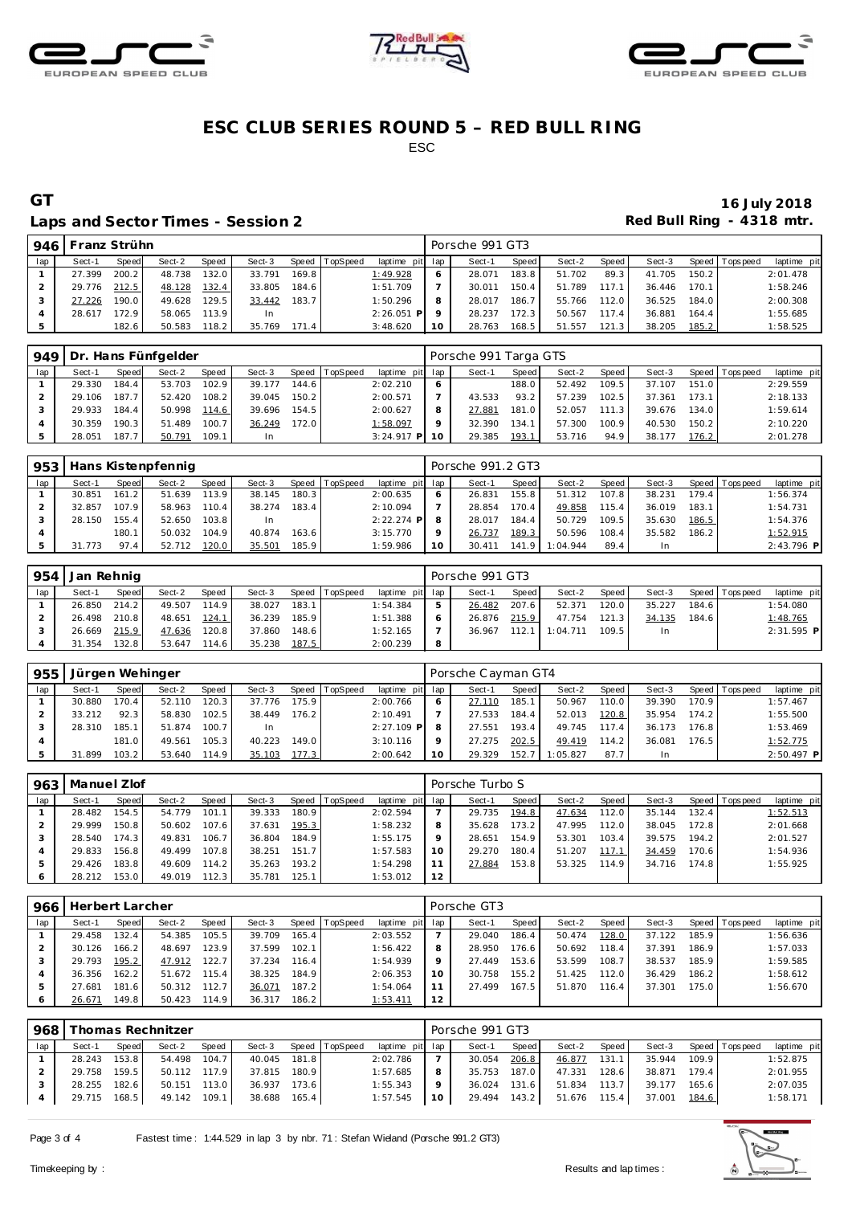





### **ESC CLUB SERIES ROUND 5 – RED BULL RING** ESC

#### Laps and Sector Times - Session 2 **Red Bull Ring - 4318 mtr.**

# **GT 16 July 2018**

| 946 | Franz Strühn |       |        |       |        |       |                |                 |    | Porsche 991 GT3 |         |        |         |        |       |                   |             |
|-----|--------------|-------|--------|-------|--------|-------|----------------|-----------------|----|-----------------|---------|--------|---------|--------|-------|-------------------|-------------|
| lap | Sect-1       | Speed | Sect-2 | Speed | Sect-3 |       | Speed TopSpeed | laptime pit lap |    | Sect-1          | Speed I | Sect-2 | Speed I | Sect-3 |       | Speed   Tops peed | laptime pit |
|     | 27.399       | 200.2 | 48.738 | 132.0 | 33.791 | 169.8 |                | 1:49.928        |    | 28.071          | 183.8   | 51.702 | 89.3    | 41.705 | 150.2 |                   | 2:01.478    |
|     | 29.776       | 212.5 | 48.128 | 132.4 | 33.805 | 184.6 |                | 1:51.709        |    | 30.011          | 150.4   | 51.789 | 117.1   | 36.446 | 170.1 |                   | 1:58.246    |
|     | 27.226       | 190.0 | 49.628 | 129.5 | 33.442 | 183.7 |                | 1:50.296        |    | 28.017          | 186.7   | 55.766 | 112.0   | 36.525 | 184.0 |                   | 2:00.308    |
|     | 28.617       | 172.9 | 58.065 | 113.9 | In     |       |                | $2:26.051$ P    |    | 28.237          | 172.3   | 50.567 | 117.4   | 36.881 | 164.4 |                   | 1:55.685    |
|     |              | 182.6 | 50.583 | 118.2 | 35.769 | 171.4 |                | 3:48.620        | 10 | 28.763          | 168.5   | 51.557 | 121.3   | 38.205 | 185.2 |                   | 1:58.525    |

|     | 949   Dr. Hans Fünfgelder |       |        |       |        |       |          |                 |         | Porsche 991 Targa GTS |       |        |       |        |       |                 |             |
|-----|---------------------------|-------|--------|-------|--------|-------|----------|-----------------|---------|-----------------------|-------|--------|-------|--------|-------|-----------------|-------------|
| lap | Sect-1                    | Speed | Sect-2 | Speed | Sect-3 | Speed | TopSpeed | laptime pit lap |         | Sect-1                | Speed | Sect-2 | Speed | Sect-3 |       | Speed Tops peed | laptime pit |
|     | 29.330                    | 184.4 | 53.703 | 102.9 | 39.177 | 144.6 |          | 2:02.210        | 6       |                       | 188.0 | 52.492 | 109.5 | 37.107 | 151.0 |                 | 2:29.559    |
|     | 29.106                    | 187.7 | 52.420 | 108.2 | 39.045 | 150.2 |          | 2:00.571        |         | 43.533                | 93.2  | 57.239 | 102.5 | 37.361 | 173.1 |                 | 2:18.133    |
|     | 29.933                    | 184.4 | 50.998 | 114.6 | 39.696 | 154.5 |          | 2:00.627        | 8       | 27.881                | 181.0 | 52.057 | 111.3 | 39.676 | 134.0 |                 | 1:59.614    |
|     | 30.359                    | 190.3 | 51.489 | 100.7 | 36.249 | 172.0 |          | 1:58.097        | $\circ$ | 32.390                | 134.1 | 57.300 | 100.9 | 40.530 | 150.2 |                 | 2:10.220    |
|     | 28.051                    | 187.7 | 50.791 | 109.1 | In.    |       |          | $3:24.917$ P 10 |         | 29.385                | 193.1 | 53.716 | 94.9  | 38.177 | 176.2 |                 | 2:01.278    |

| 953 |            |       | Hans Kistenpfennig |       |        |       |                |                 |                 | Porsche 991.2 GT3 |                    |          |       |        |       |                 |              |
|-----|------------|-------|--------------------|-------|--------|-------|----------------|-----------------|-----------------|-------------------|--------------------|----------|-------|--------|-------|-----------------|--------------|
| lap | Sect-1     | Speed | Sect-2             | Speed | Sect-3 |       | Speed TopSpeed | laptime pit lap |                 | Sect-1            | Speed              | Sect-2   | Speed | Sect-3 |       | Speed Tops peed | laptime pit  |
|     | 30.851     | 161.2 | 51.639             | 113.9 | 38.145 | 180.3 |                | 2:00.635        | O               | 26.831            | 155.8 <sub>1</sub> | 51.312   | 107.8 | 38.231 | 179.4 |                 | 1:56.374     |
|     | 32.857     | 107.9 | 58.963             | 110.4 | 38.274 | 183.4 |                | 2:10.094        |                 | 28.854            | 170.4              | 49.858   | 115.4 | 36.019 | 183.1 |                 | 1:54.731     |
|     | 28.150     | 155.4 | 52.650             | 103.8 | In     |       |                | $2:22.274$ P    |                 | 28.017            | 184.4              | 50.729   | 109.5 | 35.630 | 186.5 |                 | 1:54.376     |
|     |            | 180.1 | 50.032             | 104.9 | 40.874 | 163.6 |                | 3:15.770        | $\circ$         | 26.737            | 189.3              | 50.596   | 108.4 | 35.582 | 186.2 |                 | 1:52.915     |
|     | .773<br>31 | 97.4  | 52.712             | 120.0 | 35.501 | 185.9 |                | 1:59.986        | 10 <sup>°</sup> | 30.411            | 141<br>-91         | 1:04.944 | 89.4  | -In    |       |                 | $2:43.796$ P |

| 954 | l Jan Rehnig |       |        |       |        |       |                |                 |   | Porsche 991 GT3 |       |          |       |        |       |                   |              |
|-----|--------------|-------|--------|-------|--------|-------|----------------|-----------------|---|-----------------|-------|----------|-------|--------|-------|-------------------|--------------|
| lap | Sect-1       | Speed | Sect-2 | Speed | Sect-3 |       | Speed TopSpeed | laptime pit lap |   | Sect-1          | Speed | Sect-2   | Speed | Sect-3 |       | Speed   Tops peed | laptime pit  |
|     | 26.850 214.2 |       | 49.507 | 114.9 | 38.027 | 183.1 |                | 1:54.384        |   | 26.482          | 207.6 | 52.371   | 120.0 | 35.227 | 184.6 |                   | 1:54.080     |
|     | 26.498 210.8 |       | 48.651 | 124.1 | 36.239 | 185.9 |                | 1:51.388        |   | 26.876          | 215.9 | 47.754   | 121.3 | 34.135 | 184.6 |                   | 1:48.765     |
|     | 26.669       | 215.9 | 47.636 | 120.8 | 37.860 | 148.6 |                | 1:52.165        |   | 36.967          | 112.1 | 1:04.711 | 109.5 | In.    |       |                   | $2:31.595$ P |
|     | 31.354       | 132.8 | 53.647 | 114.6 | 35.238 | 187.5 |                | 2:00.239        | 8 |                 |       |          |       |        |       |                   |              |

| 955 | Jürgen Wehinger |       |        |       |        |       |          |                 |    | Porsche Cayman GT4 |       |          |       |        |       |                |              |
|-----|-----------------|-------|--------|-------|--------|-------|----------|-----------------|----|--------------------|-------|----------|-------|--------|-------|----------------|--------------|
| lap | Sect-1          | Speed | Sect-2 | Speed | Sect-3 | Speed | TopSpeed | laptime pit lap |    | Sect-1             | Speed | Sect-2   | Speed | Sect-3 |       | Speed Topspeed | laptime pit  |
|     | 30.880          | 170.4 | 52.110 | 120.3 | 37.776 | 175.9 |          | 2:00.766        |    | 27.110             | 185.1 | 50.967   | 110.0 | 39.390 | 170.9 |                | 1:57.467     |
|     | 33.212          | 92.3  | 58.830 | 102.5 | 38.449 | 176.2 |          | 2:10.491        |    | 27.533             | 184.4 | 52.013   | 120.8 | 35.954 | 174.2 |                | 1:55.500     |
|     | 28.310          | 185.1 | 51.874 | 100.7 | -In    |       |          | $2:27.109$ P    |    | 27.551             | 193.4 | 49.745   | 117.4 | 36.173 | 176.8 |                | 1:53.469     |
|     |                 | 181.0 | 49.561 | 105.3 | 40.223 | 149.0 |          | 3:10.116        |    | 27.275             | 202.5 | 49.419   | 114.2 | 36.081 | 176.5 |                | 1:52.775     |
|     | 31.899          | 103.2 | 53.640 | 114.9 | 35.103 | 177.3 |          | 2:00.642        | 10 | 29.329             | 152.7 | 1:05.827 | 87.7  | In     |       |                | $2:50.497$ P |

| 963 | Manuel Zlof |         |        |       |        |       |                |                 |         | Porsche Turbo S |         |        |       |        |        |                   |             |
|-----|-------------|---------|--------|-------|--------|-------|----------------|-----------------|---------|-----------------|---------|--------|-------|--------|--------|-------------------|-------------|
| lap | Sect-1      | Speed   | Sect-2 | Speed | Sect-3 |       | Speed TopSpeed | laptime pit lap |         | Sect-1          | Speed I | Sect-2 | Speed | Sect-3 |        | Speed   Tops peed | laptime pit |
|     | 28.482      | 154.5   | 54.779 | 101.7 | 39.333 | 180.9 |                | 2:02.594        |         | 29.735          | 194.8   | 47.634 | 112.0 | 35.144 | 132.4  |                   | 1:52.513    |
|     | 29.999      | 150.8 l | 50.602 | 107.6 | 37.631 | 195.3 |                | 1:58.232        | 8       | 35.628          | 173.2   | 47.995 | 112.0 | 38.045 | 172.8  |                   | 2:01.668    |
|     | 28.540      | 174.3   | 49.831 | 106.7 | 36.804 | 184.9 |                | 1:55.175        | $\circ$ | 28.651          | 154.9   | 53.301 | 103.4 | 39.575 | 194.2  |                   | 2:01.527    |
|     | 29.833      | 156.8   | 49.499 | 107.8 | 38.251 | 151.7 |                | 1:57.583        | 10      | 29.270          | 180.4   | 51.207 | 117.1 | 34.459 | 170.6  |                   | 1:54.936    |
|     | 29.426      | 183.8   | 49.609 | 114.2 | 35.263 | 193.2 |                | 1:54.298        |         | 27.884          | 153.8   | 53.325 | 114.9 | 34.716 | 174.81 |                   | 1:55.925    |
|     | 28.212      | 153.0   | 49.019 | 112.3 | 35.781 | 125.1 |                | 1:53.012        | 12      |                 |         |        |       |        |        |                   |             |

| 966     | Herbert Larcher |       |        |       |        |       |                 |                 |    | Porsche GT3 |                    |        |       |        |       |             |             |
|---------|-----------------|-------|--------|-------|--------|-------|-----------------|-----------------|----|-------------|--------------------|--------|-------|--------|-------|-------------|-------------|
| lap     | Sect-1          | Speed | Sect-2 | Speed | Sect-3 | Speed | <b>TopSpeed</b> | laptime pit lap |    | Sect-1      | Speed              | Sect-2 | Speed | Sect-3 | Speed | T ops pee d | laptime pit |
|         | 29.458          | 132.4 | 54.385 | 105.5 | 39.709 | 165.4 |                 | 2:03.552        |    | 29.040      | 186.4              | 50.474 | 128.0 | 37.122 | 185.9 |             | 1:56.636    |
|         | 30.126          | 166.2 | 48.697 | 123.9 | 37.599 | 102.1 |                 | 1:56.422        | 8  | 28.950      | 176.6 <sub>1</sub> | 50.692 | 118.4 | 37.391 | 186.9 |             | 1:57.033    |
|         | 29.793          | 195.2 | 47.912 | 122.7 | 37.234 | 116.4 |                 | 1:54.939        | 9  | 27.449      | 153.6              | 53.599 | 108.7 | 38.537 | 185.9 |             | 1:59.585    |
|         | 36.356          | 162.2 | 51.672 | 115.4 | 38.325 | 184.9 |                 | 2:06.353        | 10 | 30.758      | 155.2              | 51.425 | 112.0 | 36.429 | 186.2 |             | 1:58.612    |
| 5       | 27.681          | 181.6 | 50.312 | 112.7 | 36.071 | 187.2 |                 | 1:54.064        |    | 27.499      | 167.5              | 51.870 | 116.4 | 37.301 | 175.0 |             | 1:56.670    |
| $\circ$ | 26.671          | 149.8 | 50.423 | 114.9 | 36.317 | 186.2 |                 | 1:53.411        | 12 |             |                    |        |       |        |       |             |             |

|              |        | Thomas Rechnitzer<br>968 |              |                              |  |                                           |         |                 |         | Porsche 991 GT3       |       |        |                    |  |                                            |  |  |  |
|--------------|--------|--------------------------|--------------|------------------------------|--|-------------------------------------------|---------|-----------------|---------|-----------------------|-------|--------|--------------------|--|--------------------------------------------|--|--|--|
| Speed        | Sect-2 | Speed                    | Sect-3       |                              |  |                                           |         | Sect-1          | Speed I | Sect-2                | Speed | Sect-3 |                    |  | laptime pit                                |  |  |  |
|              |        |                          | 40.045       |                              |  | 2:02.786                                  |         | 30.054          | 206.8   | 46.877                | 131.1 | 35.944 |                    |  | 1:52.875                                   |  |  |  |
| 159.5        |        |                          | 37.815       |                              |  | 1:57.685                                  | -8      | 35.753          | 187.0   | 47.331                |       | 38.871 |                    |  | 2:01.955                                   |  |  |  |
| 28.255 182.6 | 50.151 | 113.0                    | 36.937       | 173.6                        |  | 1:55.343                                  | $\circ$ | 36.024          |         | 51.834                | 113.7 | 39.177 | 165.6              |  | 2:07.035                                   |  |  |  |
| 29.715 168.5 |        |                          | 38.688       |                              |  | 1:57.545                                  | 10      |                 |         | 51.676                |       | 37.001 |                    |  | 1:58.171                                   |  |  |  |
|              |        | 153.8                    | 49.142 109.1 | 54.498 104.7<br>50.112 117.9 |  | Speed TopSpeed<br>181.8<br>180.9<br>165.4 |         | laptime pit lap |         | 131.6<br>29.494 143.2 |       |        | $128.6$  <br>115.4 |  | Speed Tops peed<br>109.9<br>179.4<br>184.6 |  |  |  |